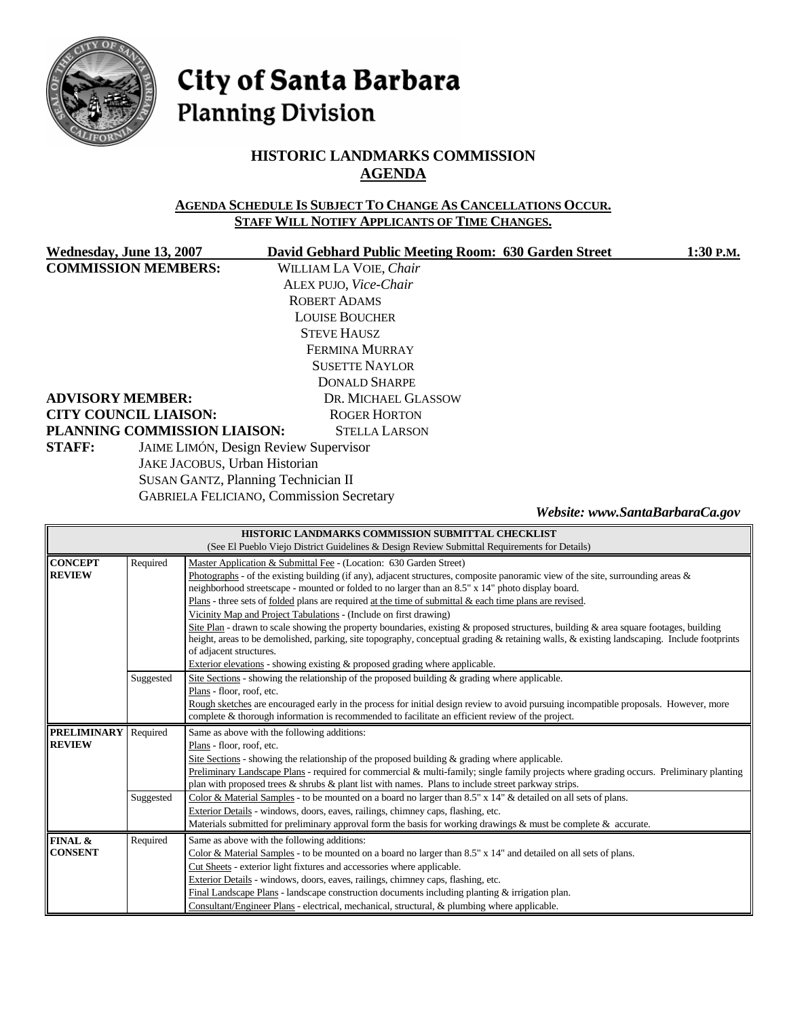

# City of Santa Barbara **Planning Division**

# **HISTORIC LANDMARKS COMMISSION AGENDA**

#### **AGENDA SCHEDULE IS SUBJECT TO CHANGE AS CANCELLATIONS OCCUR. STAFF WILL NOTIFY APPLICANTS OF TIME CHANGES.**

|                                                               | Wednesday, June 13, 2007     | David Gebhard Public Meeting Room: 630 Garden Street | 1:30 P.M.                       |
|---------------------------------------------------------------|------------------------------|------------------------------------------------------|---------------------------------|
| <b>COMMISSION MEMBERS:</b>                                    |                              | WILLIAM LA VOIE, Chair                               |                                 |
|                                                               |                              | ALEX PUJO, Vice-Chair                                |                                 |
|                                                               |                              | ROBERT ADAMS                                         |                                 |
|                                                               |                              | <b>LOUISE BOUCHER</b>                                |                                 |
|                                                               |                              | <b>STEVE HAUSZ</b>                                   |                                 |
|                                                               |                              | FERMINA MURRAY                                       |                                 |
|                                                               |                              | <b>SUSETTE NAYLOR</b>                                |                                 |
|                                                               |                              | <b>DONALD SHARPE</b>                                 |                                 |
|                                                               | <b>ADVISORY MEMBER:</b>      | DR. MICHAEL GLASSOW                                  |                                 |
|                                                               | <b>CITY COUNCIL LIAISON:</b> | <b>ROGER HORTON</b>                                  |                                 |
|                                                               | PLANNING COMMISSION LIAISON: | <b>STELLA LARSON</b>                                 |                                 |
| <b>STAFF:</b><br><b>JAIME LIMÓN, Design Review Supervisor</b> |                              |                                                      |                                 |
| JAKE JACOBUS, Urban Historian                                 |                              |                                                      |                                 |
| <b>SUSAN GANTZ, Planning Technician II</b>                    |                              |                                                      |                                 |
|                                                               |                              | <b>GABRIELA FELICIANO, Commission Secretary</b>      |                                 |
|                                                               |                              |                                                      | Website: www.SantaBarbaraCa.gov |
|                                                               |                              | HISTORIC LANDMARKS COMMISSION SURMITTAL CHECKLIST    |                                 |

|                    |           | HISTORIC LANDMARKS COMMISSION SUBMITTAL CHECKLIST                                                                                                                                                                                                                                   |  |  |
|--------------------|-----------|-------------------------------------------------------------------------------------------------------------------------------------------------------------------------------------------------------------------------------------------------------------------------------------|--|--|
|                    |           | (See El Pueblo Viejo District Guidelines & Design Review Submittal Requirements for Details)                                                                                                                                                                                        |  |  |
| <b>CONCEPT</b>     | Required  | Master Application & Submittal Fee - (Location: 630 Garden Street)                                                                                                                                                                                                                  |  |  |
| <b>REVIEW</b>      |           | Photographs - of the existing building (if any), adjacent structures, composite panoramic view of the site, surrounding areas $\&$<br>neighborhood streetscape - mounted or folded to no larger than an 8.5" x 14" photo display board.                                             |  |  |
|                    |           | Plans - three sets of <u>folded</u> plans are required at the time of submittal $\&$ each time plans are revised.                                                                                                                                                                   |  |  |
|                    |           | Vicinity Map and Project Tabulations - (Include on first drawing)                                                                                                                                                                                                                   |  |  |
|                    |           | Site Plan - drawn to scale showing the property boundaries, existing & proposed structures, building & area square footages, building<br>height, areas to be demolished, parking, site topography, conceptual grading & retaining walls, & existing landscaping. Include footprints |  |  |
|                    |           | of adjacent structures.                                                                                                                                                                                                                                                             |  |  |
|                    |           | Exterior elevations - showing existing $\&$ proposed grading where applicable.                                                                                                                                                                                                      |  |  |
|                    | Suggested | Site Sections - showing the relationship of the proposed building $\&$ grading where applicable.                                                                                                                                                                                    |  |  |
|                    |           | Plans - floor, roof, etc.                                                                                                                                                                                                                                                           |  |  |
|                    |           | Rough sketches are encouraged early in the process for initial design review to avoid pursuing incompatible proposals. However, more<br>complete & thorough information is recommended to facilitate an efficient review of the project.                                            |  |  |
| <b>PRELIMINARY</b> | Required  | Same as above with the following additions:                                                                                                                                                                                                                                         |  |  |
| <b>REVIEW</b>      |           | Plans - floor, roof, etc.                                                                                                                                                                                                                                                           |  |  |
|                    |           | Site Sections - showing the relationship of the proposed building $\&$ grading where applicable.                                                                                                                                                                                    |  |  |
|                    |           | Preliminary Landscape Plans - required for commercial & multi-family; single family projects where grading occurs. Preliminary planting                                                                                                                                             |  |  |
|                    |           | plan with proposed trees $\&$ shrubs $\&$ plant list with names. Plans to include street parkway strips.                                                                                                                                                                            |  |  |
|                    | Suggested | Color & Material Samples - to be mounted on a board no larger than 8.5" x 14" & detailed on all sets of plans.                                                                                                                                                                      |  |  |
|                    |           | Exterior Details - windows, doors, eaves, railings, chimney caps, flashing, etc.                                                                                                                                                                                                    |  |  |
|                    |           |                                                                                                                                                                                                                                                                                     |  |  |
|                    |           | Materials submitted for preliminary approval form the basis for working drawings $\&$ must be complete $\&$ accurate.                                                                                                                                                               |  |  |
| FINAL &            | Required  | Same as above with the following additions:                                                                                                                                                                                                                                         |  |  |
| <b>CONSENT</b>     |           | Color & Material Samples - to be mounted on a board no larger than $8.5" \times 14"$ and detailed on all sets of plans.                                                                                                                                                             |  |  |
|                    |           | Cut Sheets - exterior light fixtures and accessories where applicable.                                                                                                                                                                                                              |  |  |
|                    |           | Exterior Details - windows, doors, eaves, railings, chimney caps, flashing, etc.                                                                                                                                                                                                    |  |  |
|                    |           | Final Landscape Plans - landscape construction documents including planting & irrigation plan.                                                                                                                                                                                      |  |  |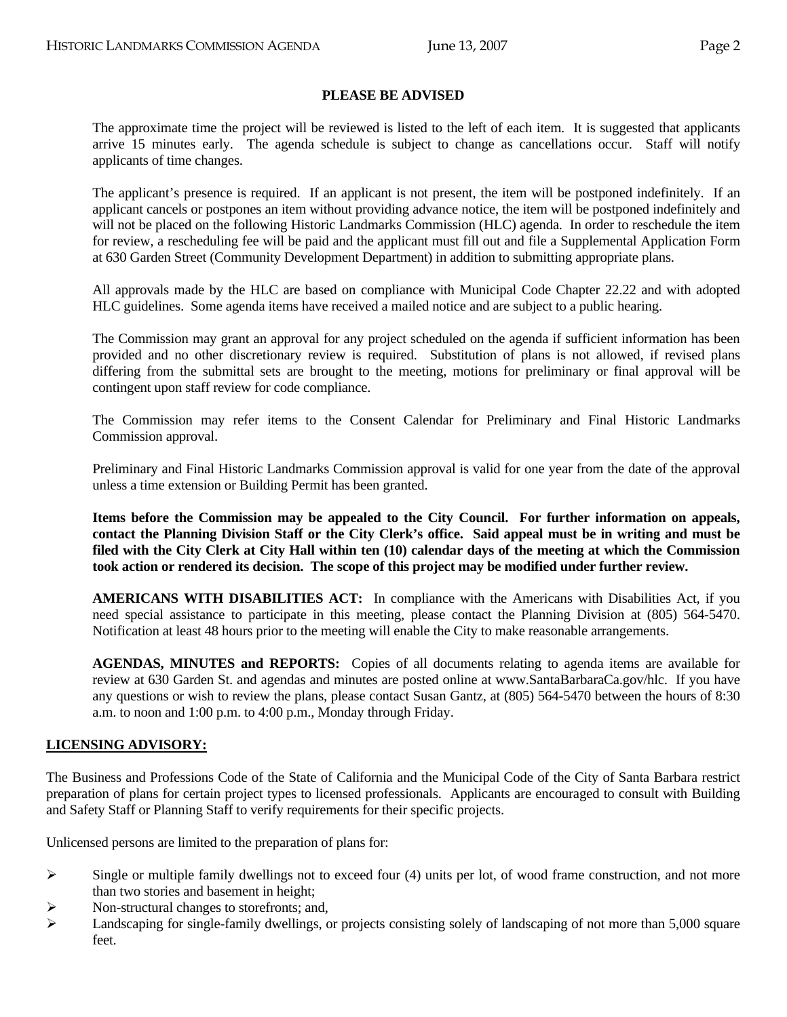## **PLEASE BE ADVISED**

 The approximate time the project will be reviewed is listed to the left of each item. It is suggested that applicants arrive 15 minutes early. The agenda schedule is subject to change as cancellations occur. Staff will notify applicants of time changes.

 The applicant's presence is required. If an applicant is not present, the item will be postponed indefinitely. If an applicant cancels or postpones an item without providing advance notice, the item will be postponed indefinitely and will not be placed on the following Historic Landmarks Commission (HLC) agenda. In order to reschedule the item for review, a rescheduling fee will be paid and the applicant must fill out and file a Supplemental Application Form at 630 Garden Street (Community Development Department) in addition to submitting appropriate plans.

 All approvals made by the HLC are based on compliance with Municipal Code Chapter 22.22 and with adopted HLC guidelines. Some agenda items have received a mailed notice and are subject to a public hearing.

 The Commission may grant an approval for any project scheduled on the agenda if sufficient information has been provided and no other discretionary review is required. Substitution of plans is not allowed, if revised plans differing from the submittal sets are brought to the meeting, motions for preliminary or final approval will be contingent upon staff review for code compliance.

 The Commission may refer items to the Consent Calendar for Preliminary and Final Historic Landmarks Commission approval.

 Preliminary and Final Historic Landmarks Commission approval is valid for one year from the date of the approval unless a time extension or Building Permit has been granted.

**Items before the Commission may be appealed to the City Council. For further information on appeals, contact the Planning Division Staff or the City Clerk's office. Said appeal must be in writing and must be filed with the City Clerk at City Hall within ten (10) calendar days of the meeting at which the Commission took action or rendered its decision. The scope of this project may be modified under further review.** 

 **AMERICANS WITH DISABILITIES ACT:** In compliance with the Americans with Disabilities Act, if you need special assistance to participate in this meeting, please contact the Planning Division at (805) 564-5470. Notification at least 48 hours prior to the meeting will enable the City to make reasonable arrangements.

 **AGENDAS, MINUTES and REPORTS:** Copies of all documents relating to agenda items are available for review at 630 Garden St. and agendas and minutes are posted online at www.SantaBarbaraCa.gov/hlc. If you have any questions or wish to review the plans, please contact Susan Gantz, at (805) 564-5470 between the hours of 8:30 a.m. to noon and 1:00 p.m. to 4:00 p.m., Monday through Friday.

#### **LICENSING ADVISORY:**

The Business and Professions Code of the State of California and the Municipal Code of the City of Santa Barbara restrict preparation of plans for certain project types to licensed professionals. Applicants are encouraged to consult with Building and Safety Staff or Planning Staff to verify requirements for their specific projects.

Unlicensed persons are limited to the preparation of plans for:

- $\triangleright$  Single or multiple family dwellings not to exceed four (4) units per lot, of wood frame construction, and not more than two stories and basement in height;
- $\triangleright$  Non-structural changes to storefronts; and,
- $\blacktriangleright$  Landscaping for single-family dwellings, or projects consisting solely of landscaping of not more than 5,000 square feet.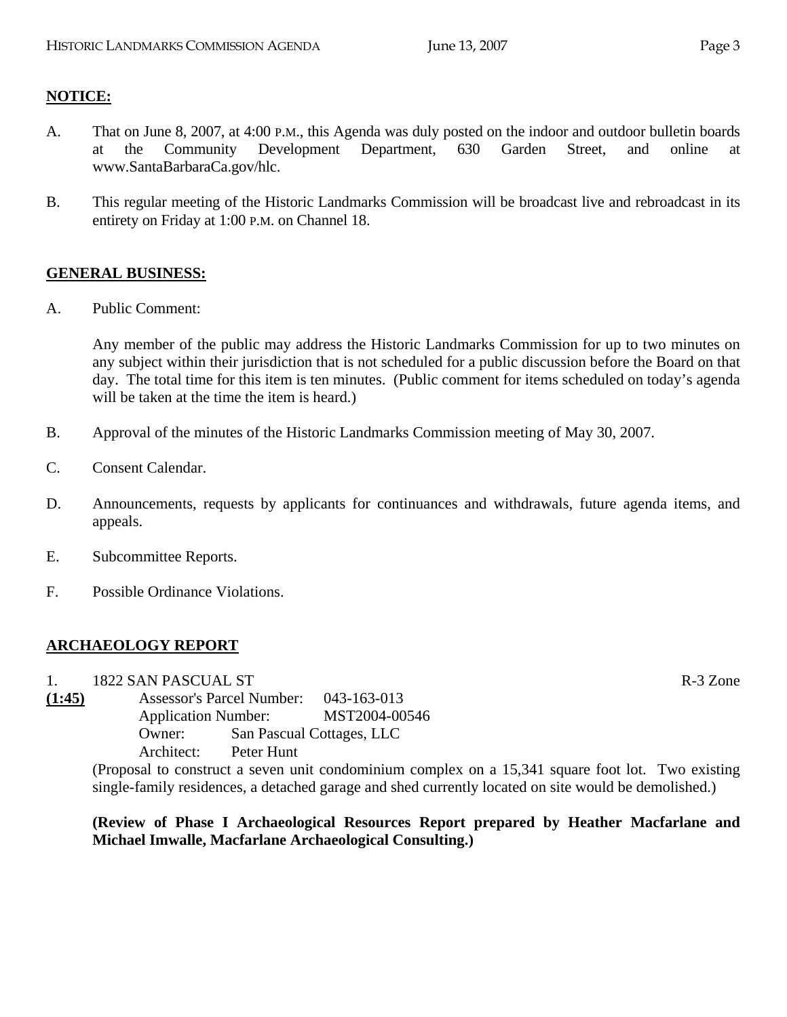# **NOTICE:**

- A. That on June 8, 2007, at 4:00 P.M., this Agenda was duly posted on the indoor and outdoor bulletin boards at the Community Development Department, 630 Garden Street, and online at www.SantaBarbaraCa.gov/hlc.
- B. This regular meeting of the Historic Landmarks Commission will be broadcast live and rebroadcast in its entirety on Friday at 1:00 P.M. on Channel 18.

# **GENERAL BUSINESS:**

A. Public Comment:

Any member of the public may address the Historic Landmarks Commission for up to two minutes on any subject within their jurisdiction that is not scheduled for a public discussion before the Board on that day. The total time for this item is ten minutes. (Public comment for items scheduled on today's agenda will be taken at the time the item is heard.)

- B. Approval of the minutes of the Historic Landmarks Commission meeting of May 30, 2007.
- C. Consent Calendar.
- D. Announcements, requests by applicants for continuances and withdrawals, future agenda items, and appeals.
- E. Subcommittee Reports.
- F. Possible Ordinance Violations.

# **ARCHAEOLOGY REPORT**

1. 1822 SAN PASCUAL ST R-3 Zone

**(1:45)** Assessor's Parcel Number: 043-163-013 Application Number: MST2004-00546 Owner: San Pascual Cottages, LLC Architect: Peter Hunt

(Proposal to construct a seven unit condominium complex on a 15,341 square foot lot. Two existing single-family residences, a detached garage and shed currently located on site would be demolished.)

**(Review of Phase I Archaeological Resources Report prepared by Heather Macfarlane and Michael Imwalle, Macfarlane Archaeological Consulting.)**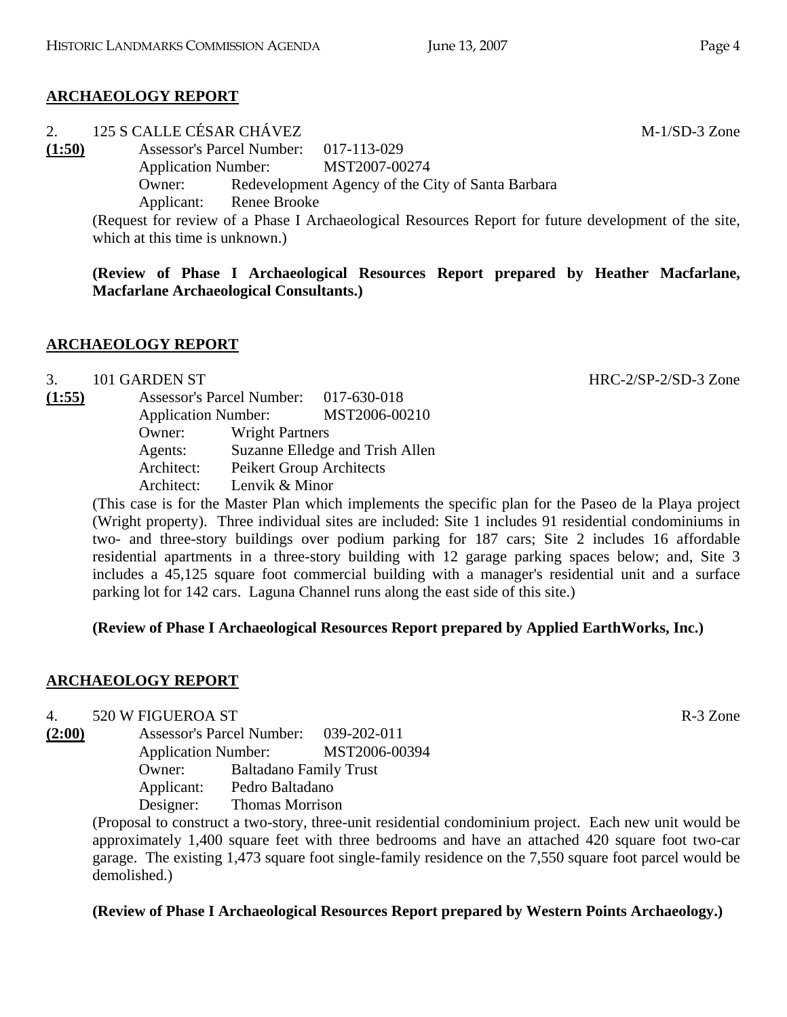# **ARCHAEOLOGY REPORT**

2. 125 S CALLE CÉSAR CHÁVEZ M-1/SD-3 Zone **(1:50)** Assessor's Parcel Number: 017-113-029 Application Number: MST2007-00274 Owner: Redevelopment Agency of the City of Santa Barbara Applicant: Renee Brooke (Request for review of a Phase I Archaeological Resources Report for future development of the site,

which at this time is unknown.)

**(Review of Phase I Archaeological Resources Report prepared by Heather Macfarlane, Macfarlane Archaeological Consultants.)** 

# **ARCHAEOLOGY REPORT**

#### 3. 101 GARDEN ST HRC-2/SP-2/SD-3 Zone

**(1:55)** Assessor's Parcel Number: 017-630-018 Application Number: MST2006-00210 Owner: Wright Partners Agents: Suzanne Elledge and Trish Allen Architect: Peikert Group Architects Architect: Lenvik & Minor

> (This case is for the Master Plan which implements the specific plan for the Paseo de la Playa project (Wright property). Three individual sites are included: Site 1 includes 91 residential condominiums in two- and three-story buildings over podium parking for 187 cars; Site 2 includes 16 affordable residential apartments in a three-story building with 12 garage parking spaces below; and, Site 3 includes a 45,125 square foot commercial building with a manager's residential unit and a surface parking lot for 142 cars. Laguna Channel runs along the east side of this site.)

#### **(Review of Phase I Archaeological Resources Report prepared by Applied EarthWorks, Inc.)**

# **ARCHAEOLOGY REPORT**

4. 520 W FIGUEROA ST

**(2:00)** Assessor's Parcel Number: 039-202-011 Application Number: MST2006-00394 Owner: Baltadano Family Trust Applicant: Pedro Baltadano Designer: Thomas Morrison

(Proposal to construct a two-story, three-unit residential condominium project. Each new unit would be approximately 1,400 square feet with three bedrooms and have an attached 420 square foot two-car garage. The existing 1,473 square foot single-family residence on the 7,550 square foot parcel would be demolished.)

# **(Review of Phase I Archaeological Resources Report prepared by Western Points Archaeology.)**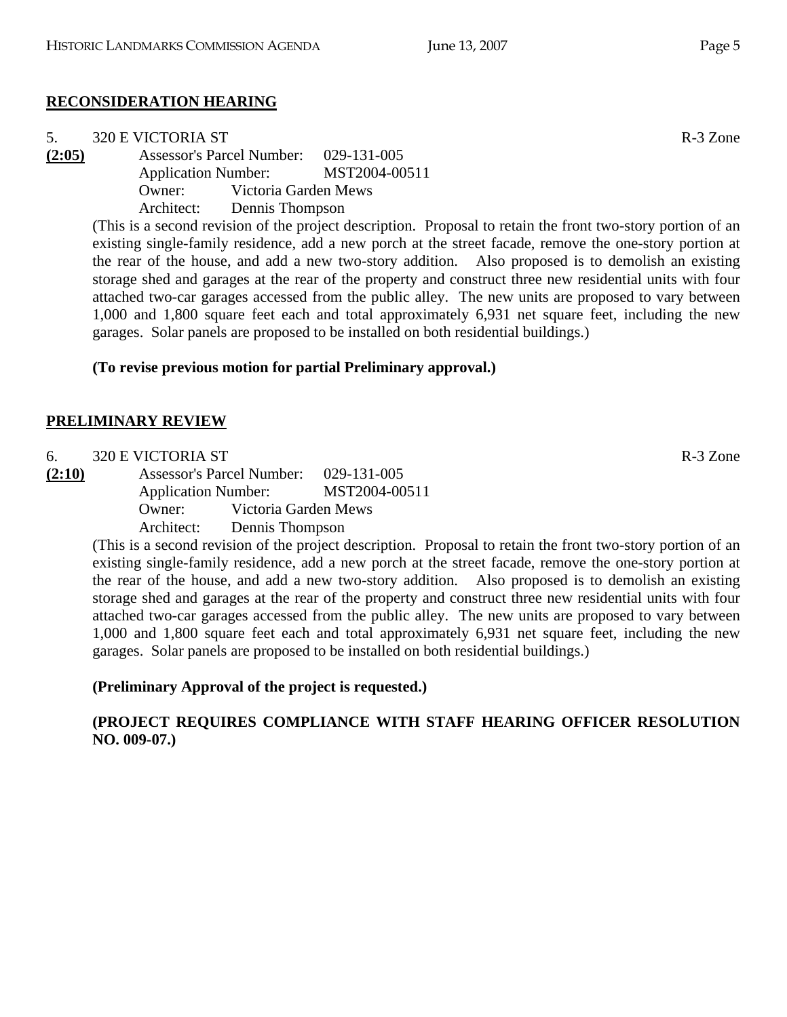# **RECONSIDERATION HEARING**

| 5.     | 320 E VICTORIA ST |                                    |                                       | R-3 Zone |
|--------|-------------------|------------------------------------|---------------------------------------|----------|
| (2:05) |                   |                                    | Assessor's Parcel Number: 029-131-005 |          |
|        |                   |                                    | Application Number: MST2004-00511     |          |
|        |                   | <b>Owner:</b> Victoria Garden Mews |                                       |          |
|        |                   | Architect: Dennis Thompson         |                                       |          |

(This is a second revision of the project description. Proposal to retain the front two-story portion of an existing single-family residence, add a new porch at the street facade, remove the one-story portion at the rear of the house, and add a new two-story addition. Also proposed is to demolish an existing storage shed and garages at the rear of the property and construct three new residential units with four attached two-car garages accessed from the public alley. The new units are proposed to vary between 1,000 and 1,800 square feet each and total approximately 6,931 net square feet, including the new garages. Solar panels are proposed to be installed on both residential buildings.)

# **(To revise previous motion for partial Preliminary approval.)**

# **PRELIMINARY REVIEW**

- 6. 320 E VICTORIA ST R-3 Zone
- **(2:10)** Assessor's Parcel Number: 029-131-005 Application Number: MST2004-00511 Owner: Victoria Garden Mews

Architect: Dennis Thompson

(This is a second revision of the project description. Proposal to retain the front two-story portion of an existing single-family residence, add a new porch at the street facade, remove the one-story portion at the rear of the house, and add a new two-story addition. Also proposed is to demolish an existing storage shed and garages at the rear of the property and construct three new residential units with four attached two-car garages accessed from the public alley. The new units are proposed to vary between 1,000 and 1,800 square feet each and total approximately 6,931 net square feet, including the new garages. Solar panels are proposed to be installed on both residential buildings.)

# **(Preliminary Approval of the project is requested.)**

# **(PROJECT REQUIRES COMPLIANCE WITH STAFF HEARING OFFICER RESOLUTION NO. 009-07.)**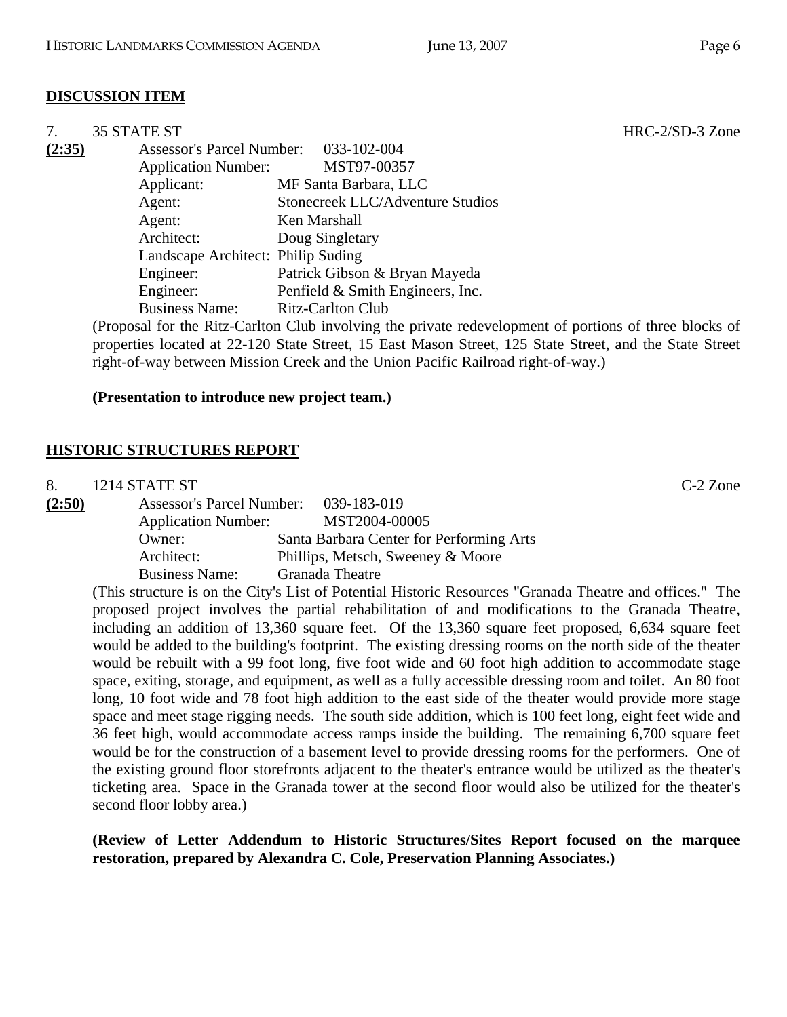## **DISCUSSION ITEM**

| 7.     | <b>35 STATE ST</b>               |                                    |
|--------|----------------------------------|------------------------------------|
| (2:35) | <b>Assessor's Parcel Number:</b> | 033-102-004                        |
|        | <b>Application Number:</b>       | MST97-00357                        |
|        | Applicant:                       | MF Santa Barbara, LLC              |
|        | Agent:                           | Stonecreek LLC/Adventure Studios   |
|        | Agent:                           | Ken Marshall                       |
|        | Architect:                       | Doug Singletary                    |
|        |                                  | Landscape Architect: Philip Suding |
|        | Engineer:                        | Patrick Gibson & Bryan Mayeda      |
|        | Engineer:                        | Penfield & Smith Engineers, Inc.   |
|        | <b>Business Name:</b>            | <b>Ritz-Carlton Club</b>           |

(Proposal for the Ritz-Carlton Club involving the private redevelopment of portions of three blocks of properties located at 22-120 State Street, 15 East Mason Street, 125 State Street, and the State Street right-of-way between Mission Creek and the Union Pacific Railroad right-of-way.)

#### **(Presentation to introduce new project team.)**

#### **HISTORIC STRUCTURES REPORT**

8. 1214 STATE ST C-2 Zone

| (2:50) | <b>Assessor's Parcel Number:</b> | 039-183-019                              |
|--------|----------------------------------|------------------------------------------|
|        | <b>Application Number:</b>       | MST2004-00005                            |
|        | Owner:                           | Santa Barbara Center for Performing Arts |
|        | Architect:                       | Phillips, Metsch, Sweeney & Moore        |
|        | <b>Business Name:</b>            | Granada Theatre                          |

(This structure is on the City's List of Potential Historic Resources "Granada Theatre and offices." The proposed project involves the partial rehabilitation of and modifications to the Granada Theatre, including an addition of 13,360 square feet. Of the 13,360 square feet proposed, 6,634 square feet would be added to the building's footprint. The existing dressing rooms on the north side of the theater would be rebuilt with a 99 foot long, five foot wide and 60 foot high addition to accommodate stage space, exiting, storage, and equipment, as well as a fully accessible dressing room and toilet. An 80 foot long, 10 foot wide and 78 foot high addition to the east side of the theater would provide more stage space and meet stage rigging needs. The south side addition, which is 100 feet long, eight feet wide and 36 feet high, would accommodate access ramps inside the building. The remaining 6,700 square feet would be for the construction of a basement level to provide dressing rooms for the performers. One of the existing ground floor storefronts adjacent to the theater's entrance would be utilized as the theater's ticketing area. Space in the Granada tower at the second floor would also be utilized for the theater's second floor lobby area.)

**(Review of Letter Addendum to Historic Structures/Sites Report focused on the marquee restoration, prepared by Alexandra C. Cole, Preservation Planning Associates.)** 

HRC-2/SD-3 Zone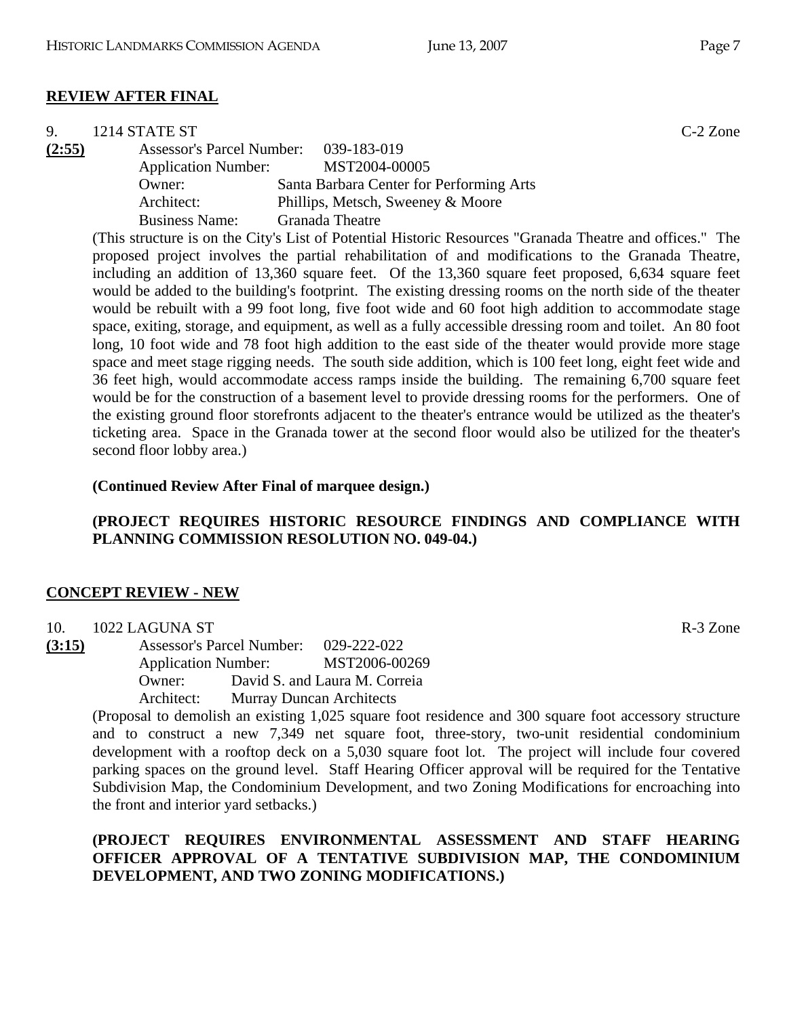| 9.     | 1214 STATE ST                         |                                                                                                          | $C-2$ Zone |
|--------|---------------------------------------|----------------------------------------------------------------------------------------------------------|------------|
| (2:55) | Assessor's Parcel Number: 039-183-019 |                                                                                                          |            |
|        | <b>Application Number:</b>            | MST2004-00005                                                                                            |            |
|        | Owner:                                | Santa Barbara Center for Performing Arts                                                                 |            |
|        | Architect:                            | Phillips, Metsch, Sweeney & Moore                                                                        |            |
|        | <b>Business Name:</b>                 | <b>Granada Theatre</b>                                                                                   |            |
|        |                                       | (This structure is on the City's List of Potential Historic Resources "Granada Theatre and offices." The |            |

da Theatre and offices." The proposed project involves the partial rehabilitation of and modifications to the Granada Theatre, including an addition of 13,360 square feet. Of the 13,360 square feet proposed, 6,634 square feet would be added to the building's footprint. The existing dressing rooms on the north side of the theater would be rebuilt with a 99 foot long, five foot wide and 60 foot high addition to accommodate stage space, exiting, storage, and equipment, as well as a fully accessible dressing room and toilet. An 80 foot long, 10 foot wide and 78 foot high addition to the east side of the theater would provide more stage space and meet stage rigging needs. The south side addition, which is 100 feet long, eight feet wide and 36 feet high, would accommodate access ramps inside the building. The remaining 6,700 square feet would be for the construction of a basement level to provide dressing rooms for the performers. One of the existing ground floor storefronts adjacent to the theater's entrance would be utilized as the theater's ticketing area. Space in the Granada tower at the second floor would also be utilized for the theater's second floor lobby area.)

#### **(Continued Review After Final of marquee design.)**

## **(PROJECT REQUIRES HISTORIC RESOURCE FINDINGS AND COMPLIANCE WITH PLANNING COMMISSION RESOLUTION NO. 049-04.)**

#### **CONCEPT REVIEW - NEW**

- 10. 1022 LAGUNA ST R-3 Zone
- **(3:15)** Assessor's Parcel Number: 029-222-022 Application Number: MST2006-00269 Owner: David S. and Laura M. Correia Architect: Murray Duncan Architects

(Proposal to demolish an existing 1,025 square foot residence and 300 square foot accessory structure and to construct a new 7,349 net square foot, three-story, two-unit residential condominium development with a rooftop deck on a 5,030 square foot lot. The project will include four covered parking spaces on the ground level. Staff Hearing Officer approval will be required for the Tentative Subdivision Map, the Condominium Development, and two Zoning Modifications for encroaching into the front and interior yard setbacks.)

## **(PROJECT REQUIRES ENVIRONMENTAL ASSESSMENT AND STAFF HEARING OFFICER APPROVAL OF A TENTATIVE SUBDIVISION MAP, THE CONDOMINIUM DEVELOPMENT, AND TWO ZONING MODIFICATIONS.)**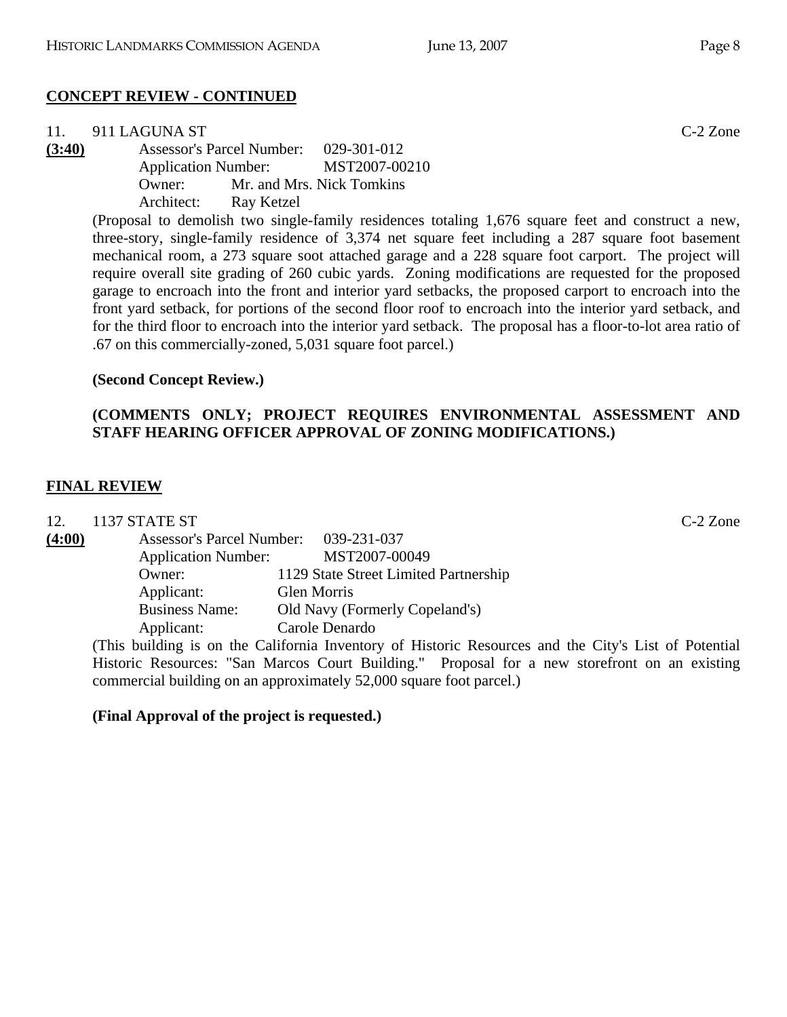# **CONCEPT REVIEW - CONTINUED**

|        | 11. $911$ LAGUNA ST |            |                                       | $C-2$ Zone |
|--------|---------------------|------------|---------------------------------------|------------|
| (3:40) |                     |            | Assessor's Parcel Number: 029-301-012 |            |
|        |                     |            | Application Number: MST2007-00210     |            |
|        | Owner:              |            | Mr. and Mrs. Nick Tomkins             |            |
|        | Architect:          | Ray Ketzel |                                       |            |

(Proposal to demolish two single-family residences totaling 1,676 square feet and construct a new, three-story, single-family residence of 3,374 net square feet including a 287 square foot basement mechanical room, a 273 square soot attached garage and a 228 square foot carport. The project will require overall site grading of 260 cubic yards. Zoning modifications are requested for the proposed garage to encroach into the front and interior yard setbacks, the proposed carport to encroach into the front yard setback, for portions of the second floor roof to encroach into the interior yard setback, and for the third floor to encroach into the interior yard setback. The proposal has a floor-to-lot area ratio of .67 on this commercially-zoned, 5,031 square foot parcel.)

## **(Second Concept Review.)**

# **(COMMENTS ONLY; PROJECT REQUIRES ENVIRONMENTAL ASSESSMENT AND STAFF HEARING OFFICER APPROVAL OF ZONING MODIFICATIONS.)**

## **FINAL REVIEW**

| 12.    | 1137 STATE ST                    |                                       | $C-2$ Zone |
|--------|----------------------------------|---------------------------------------|------------|
| (4:00) | <b>Assessor's Parcel Number:</b> | 039-231-037                           |            |
|        | <b>Application Number:</b>       | MST2007-00049                         |            |
|        | Owner:                           | 1129 State Street Limited Partnership |            |
|        | Applicant:                       | Glen Morris                           |            |
|        | <b>Business Name:</b>            | Old Navy (Formerly Copeland's)        |            |
|        | Applicant:                       | Carole Denardo                        |            |

(This building is on the California Inventory of Historic Resources and the City's List of Potential Historic Resources: "San Marcos Court Building." Proposal for a new storefront on an existing commercial building on an approximately 52,000 square foot parcel.)

# **(Final Approval of the project is requested.)**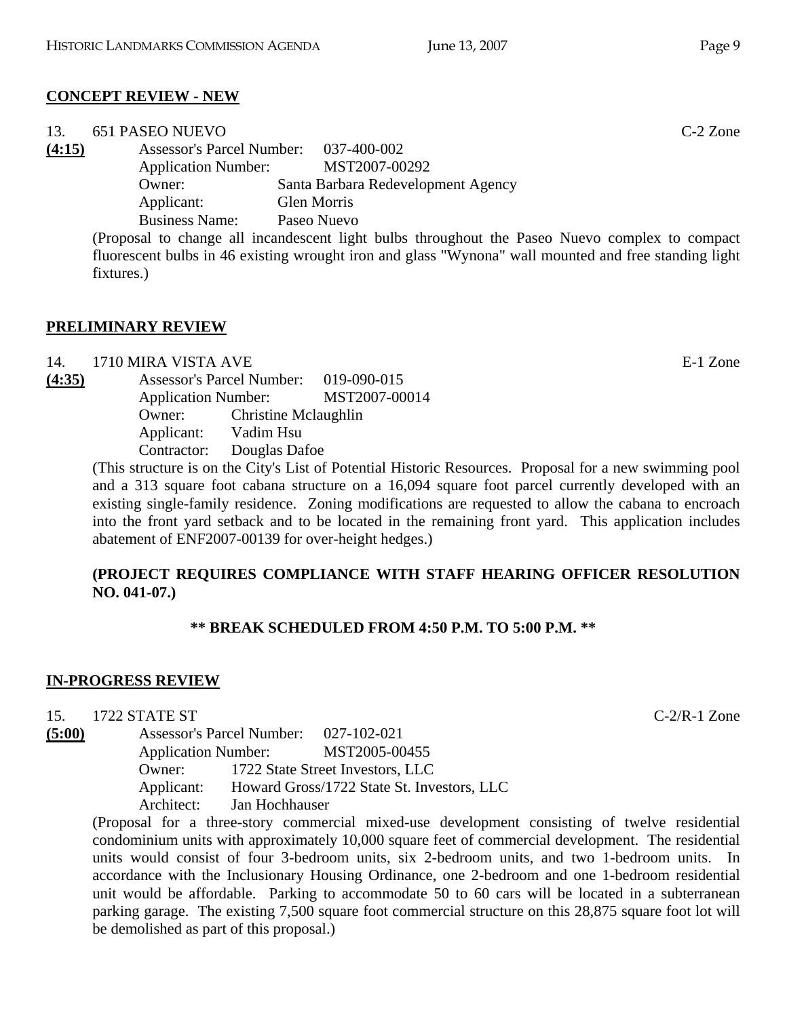# **CONCEPT REVIEW - NEW**

| 13.    | 651 PASEO NUEVO            |                                                                                                       | $C-2$ Zone |
|--------|----------------------------|-------------------------------------------------------------------------------------------------------|------------|
| (4:15) |                            | Assessor's Parcel Number: 037-400-002                                                                 |            |
|        | <b>Application Number:</b> | MST2007-00292                                                                                         |            |
|        | Owner:                     | Santa Barbara Redevelopment Agency                                                                    |            |
|        | Applicant:                 | <b>Glen Morris</b>                                                                                    |            |
|        | <b>Business Name:</b>      | Paseo Nuevo                                                                                           |            |
|        |                            | (Proposal to change all incandescent light bulbs throughout the Paseo Nuevo complex to compact        |            |
|        |                            | fluorescent bulbs in 46 existing wrought iron and glass "Wynona" wall mounted and free standing light |            |

**PRELIMINARY REVIEW**

fixtures.)

14. 1710 MIRA VISTA AVE E-1 Zone **(4:35)** Assessor's Parcel Number: 019-090-015 Application Number: MST2007-00014 Owner: Christine Mclaughlin Applicant: Vadim Hsu Contractor: Douglas Dafoe

(This structure is on the City's List of Potential Historic Resources. Proposal for a new swimming pool and a 313 square foot cabana structure on a 16,094 square foot parcel currently developed with an existing single-family residence. Zoning modifications are requested to allow the cabana to encroach into the front yard setback and to be located in the remaining front yard. This application includes abatement of ENF2007-00139 for over-height hedges.)

## **(PROJECT REQUIRES COMPLIANCE WITH STAFF HEARING OFFICER RESOLUTION NO. 041-07.)**

# **\*\* BREAK SCHEDULED FROM 4:50 P.M. TO 5:00 P.M. \*\***

# **IN-PROGRESS REVIEW**

15. 1722 STATE ST C-2/R-1 Zone

**(5:00)** Assessor's Parcel Number: 027-102-021 Application Number: MST2005-00455 Owner: 1722 State Street Investors, LLC Applicant: Howard Gross/1722 State St. Investors, LLC Architect: Jan Hochhauser

(Proposal for a three-story commercial mixed-use development consisting of twelve residential condominium units with approximately 10,000 square feet of commercial development. The residential units would consist of four 3-bedroom units, six 2-bedroom units, and two 1-bedroom units. In accordance with the Inclusionary Housing Ordinance, one 2-bedroom and one 1-bedroom residential unit would be affordable. Parking to accommodate 50 to 60 cars will be located in a subterranean parking garage. The existing 7,500 square foot commercial structure on this 28,875 square foot lot will be demolished as part of this proposal.)